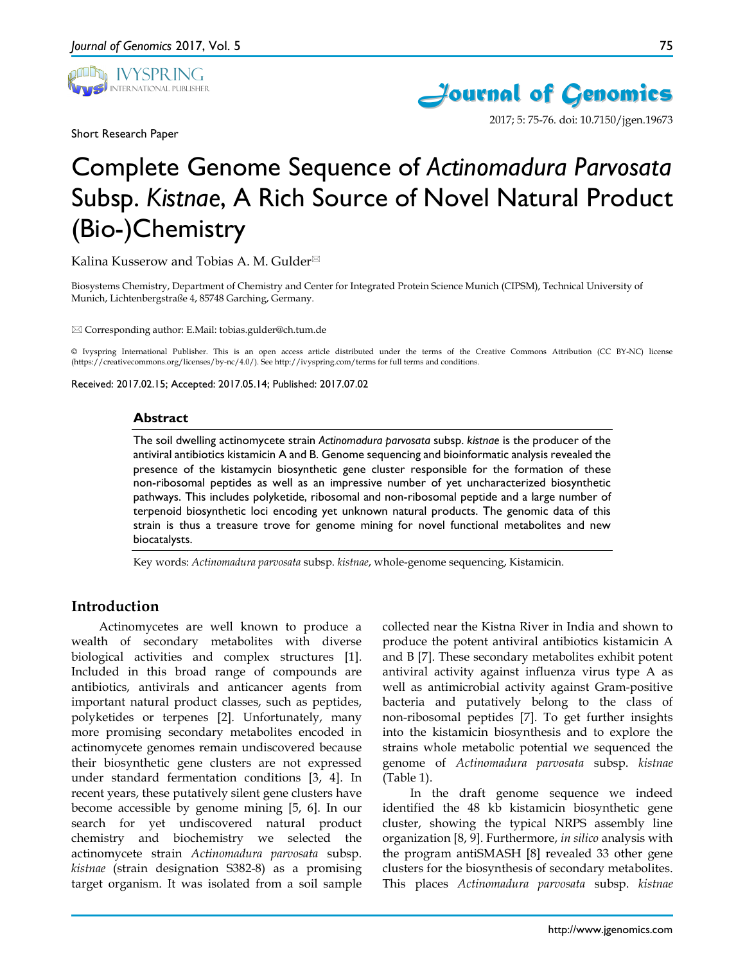

Short Research Paper



2017; 5: 75-76. doi: 10.7150/jgen.19673

# Complete Genome Sequence of *Actinomadura Parvosata* Subsp. *Kistnae*, A Rich Source of Novel Natural Product (Bio-)Chemistry

Kalina Kusserow and Tobias A. M. Gulder

Biosystems Chemistry, Department of Chemistry and Center for Integrated Protein Science Munich (CIPSM), Technical University of Munich, Lichtenbergstraße 4, 85748 Garching, Germany.

Corresponding author: E.Mail: tobias.gulder@ch.tum.de

© Ivyspring International Publisher. This is an open access article distributed under the terms of the Creative Commons Attribution (CC BY-NC) license (https://creativecommons.org/licenses/by-nc/4.0/). See http://ivyspring.com/terms for full terms and conditions.

Received: 2017.02.15; Accepted: 2017.05.14; Published: 2017.07.02

#### **Abstract**

The soil dwelling actinomycete strain *Actinomadura parvosata* subsp. *kistnae* is the producer of the antiviral antibiotics kistamicin A and B. Genome sequencing and bioinformatic analysis revealed the presence of the kistamycin biosynthetic gene cluster responsible for the formation of these non-ribosomal peptides as well as an impressive number of yet uncharacterized biosynthetic pathways. This includes polyketide, ribosomal and non-ribosomal peptide and a large number of terpenoid biosynthetic loci encoding yet unknown natural products. The genomic data of this strain is thus a treasure trove for genome mining for novel functional metabolites and new biocatalysts.

Key words: *Actinomadura parvosata* subsp. *kistnae*, whole-genome sequencing, Kistamicin.

### **Introduction**

Actinomycetes are well known to produce a wealth of secondary metabolites with diverse biological activities and complex structures [1]. Included in this broad range of compounds are antibiotics, antivirals and anticancer agents from important natural product classes, such as peptides, polyketides or terpenes [2]. Unfortunately, many more promising secondary metabolites encoded in actinomycete genomes remain undiscovered because their biosynthetic gene clusters are not expressed under standard fermentation conditions [3, 4]. In recent years, these putatively silent gene clusters have become accessible by genome mining [5, 6]. In our search for yet undiscovered natural product chemistry and biochemistry we selected the actinomycete strain *Actinomadura parvosata* subsp. *kistnae* (strain designation S382-8) as a promising target organism. It was isolated from a soil sample

collected near the Kistna River in India and shown to produce the potent antiviral antibiotics kistamicin A and B [7]. These secondary metabolites exhibit potent antiviral activity against influenza virus type A as well as antimicrobial activity against Gram-positive bacteria and putatively belong to the class of non-ribosomal peptides [7]. To get further insights into the kistamicin biosynthesis and to explore the strains whole metabolic potential we sequenced the genome of *Actinomadura parvosata* subsp. *kistnae*  (Table 1).

In the draft genome sequence we indeed identified the 48 kb kistamicin biosynthetic gene cluster, showing the typical NRPS assembly line organization [8, 9]. Furthermore, *in silico* analysis with the program antiSMASH [8] revealed 33 other gene clusters for the biosynthesis of secondary metabolites. This places *Actinomadura parvosata* subsp. *kistnae*